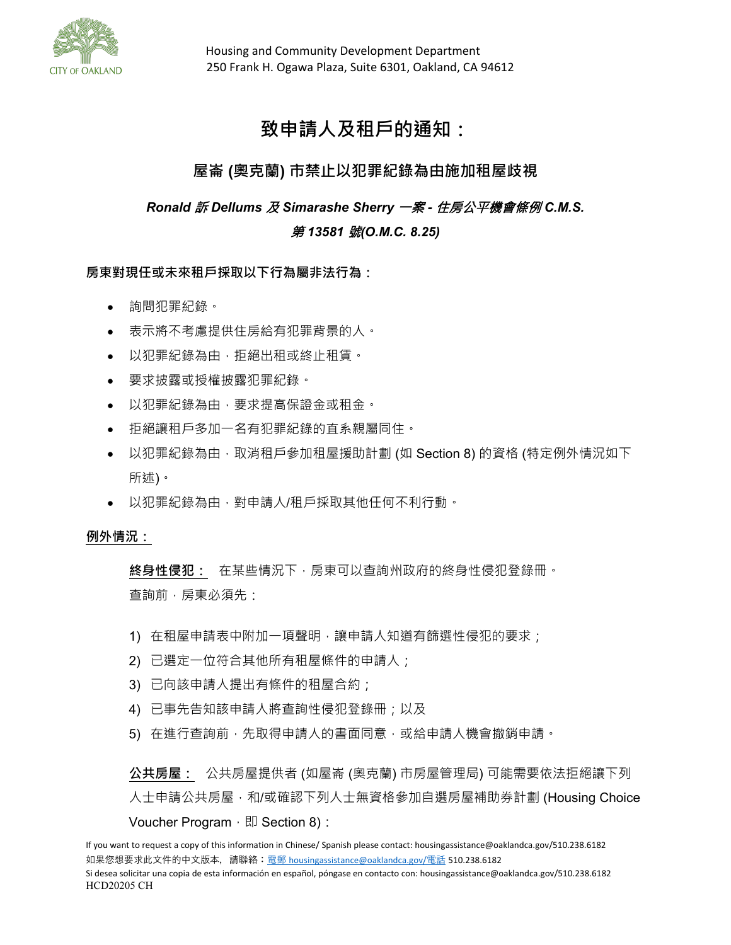

# **致申請人及租戶的通知:**

## **屋崙 (奧克蘭) 市禁止以犯罪紀錄為由施加租屋歧視**

*Ronald* 訴 *Dellums* 及 *Simarashe Sherry* 一案 *-* 住房公平機會條例 *C.M.S.* 

### 第 *13581* 號*(O.M.C. 8.25)*

**房東對現任或未來租戶採取以下行為屬非法行為:**

- 詢問犯罪紀錄。
- 表示將不考慮提供住房給有犯罪背景的人。
- 以犯罪紀錄為由,拒絕出租或終止租賃。
- 要求披露或授權披露犯罪紀錄。
- 以犯罪紀錄為由,要求提高保證金或租金。
- 拒絕讓租戶多加一名有犯罪紀錄的直系親屬同住。
- 以犯罪紀錄為由,取消租戶參加租屋援助計劃 (如 Section 8) 的資格 (特定例外情況如下 所述)。
- 以犯罪紀錄為由,對申請人/租戶採取其他任何不利行動。

#### **例外情況:**

**終身性侵犯:** 在某些情況下,房東可以查詢州政府的終身性侵犯登錄冊。 查詢前,房東必須先:

- 1) 在租屋申請表中附加一項聲明,讓申請人知道有篩選性侵犯的要求;
- 2) 已選定一位符合其他所有租屋條件的申請人;
- 3) 已向該申請人提出有條件的租屋合約;
- 4) 已事先告知該申請人將查詢性侵犯登錄冊;以及
- 5) 在進行查詢前,先取得申請人的書面同意,或給申請人機會撤銷申請。

**公共房屋:** 公共房屋提供者 (如屋崙 (奧克蘭) 市房屋管理局) 可能需要依法拒絕讓下列 人士申請公共房屋,和/或確認下列人士無資格參加自選房屋補助券計劃 (Housing Choice Voucher Program,  $\mathbb{E}$  Section 8):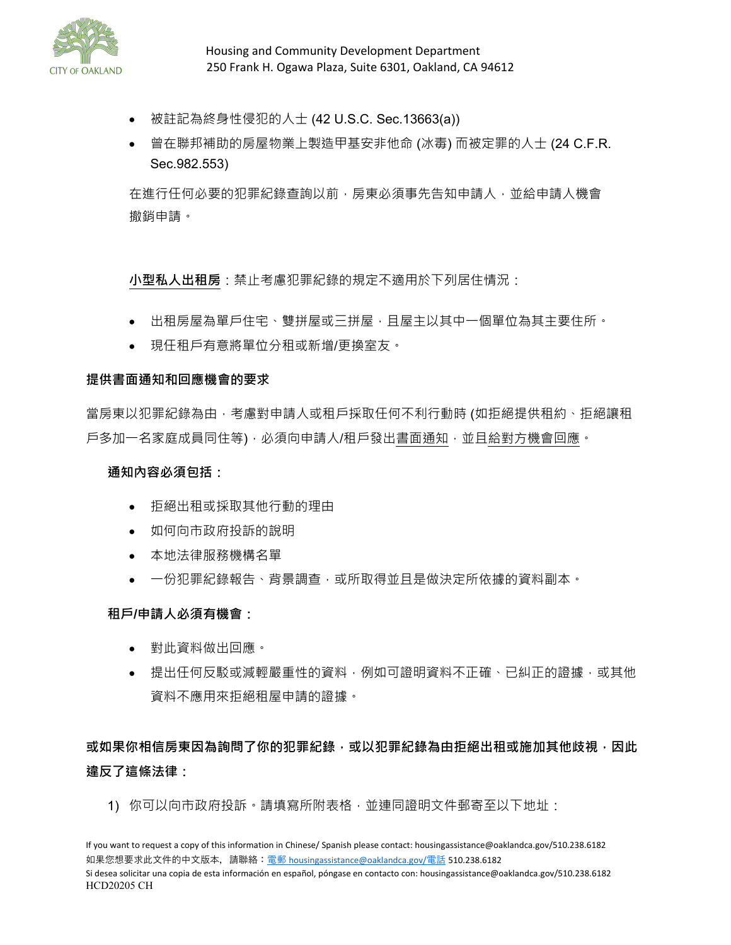

- 被註記為終身性侵犯的人士 (42 U.S.C. Sec.13663(a))
- 曾在聯邦補助的房屋物業上製造甲基安非他命 (冰毒) 而被定罪的人士 (24 C.F.R. Sec.982.553)

在進行任何必要的犯罪紀錄查詢以前,房東必須事先告知申請人,並給申請人機會 撤銷申請。

**小型私人出租房**:禁止考慮犯罪紀錄的規定不適用於下列居住情況:

- 出租房屋為單戶住宅、雙拼屋或三拼屋,且屋主以其中一個單位為其主要住所。
- 現任租戶有意將單位分租或新增/更換室友。

#### **提供書面通知和回應機會的要求**

當房東以犯罪紀錄為由,考慮對申請人或租戶採取任何不利行動時 (如拒絕提供租約、拒絕讓租 戶多加一名家庭成員同住等) · 必須向申請人/租戶發出書面通知 · 並且給對方機會回應 ·

#### **通知內容必須包括:**

- 拒絕出租或採取其他行動的理由
- 如何向市政府投訴的說明
- 本地法律服務機構名單
- 一份犯罪紀錄報告、背景調査,或所取得並且是做決定所依據的資料副本。

#### **租戶/申請人必須有機會:**

- 對此資料做出回應。
- 提出任何反駁或減輕嚴重性的資料,例如可證明資料不正確、已糾正的證據,或其他 資料不應用來拒絕租屋申請的證據。

## **或如果你相信房東因為詢問了你的犯罪紀錄,或以犯罪紀錄為由拒絕出租或施加其他歧視,因此 違反了這條法律:**

1) 你可以向市政府投訴。請填寫所附表格,並連同證明文件郵寄至以下地址:

If you want to request a copy of this information in Chinese/ Spanish please contact: housingassistance@oaklandca.gov/510.238.6182 如果您想要求此文件的中文版本,請聯絡:電郵 [housingassistance@oaklandca.gov/](mailto:%E9%9B%BB%E9%83%B5housingassistance@oaklandca.gov/%E9%9B%BB%E8%A9%B1)電話 510.238.6182 Si desea solicitar una copia de esta información en español, póngase en contacto con: housingassistance@oaklandca.gov/510.238.6182 HCD20205 CH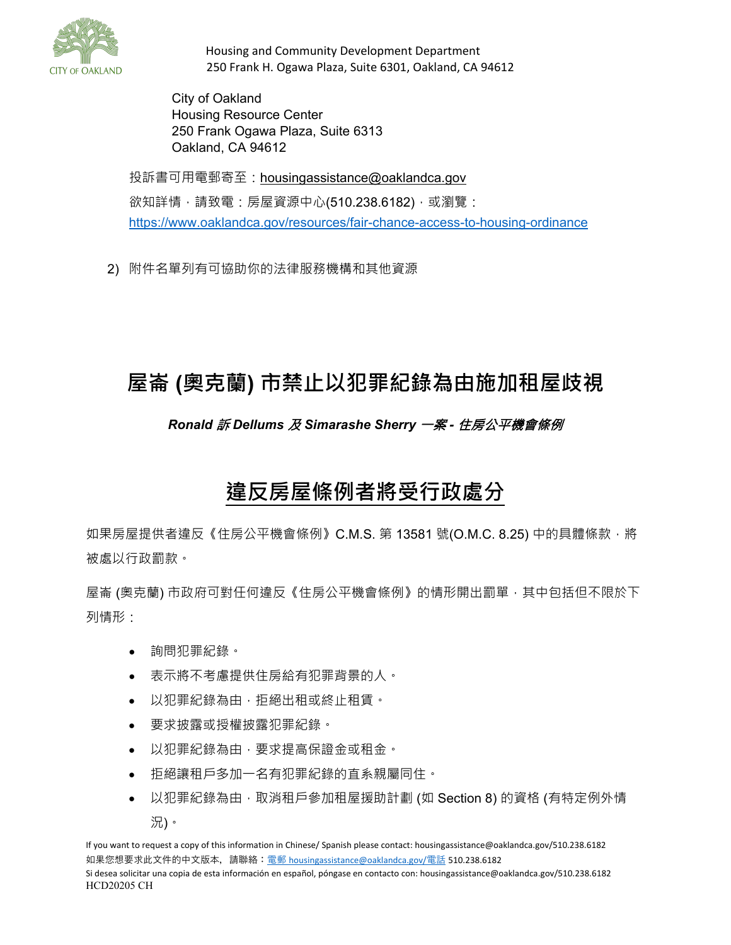

City of Oakland Housing Resource Center 250 Frank Ogawa Plaza, Suite 6313 Oakland, CA 94612

投訴書可用電郵寄至:housin[gassistance@oaklandca.gov](mailto:assistance@oaklandca.gov) 欲知詳情,請致電:房屋資源中心(510.238.6182),或瀏覽: <https://www.oaklandca.gov/resources/fair-chance-access-to-housing-ordinance>

2) 附件名單列有可協助你的法律服務機構和其他資源

# **屋崙 (奧克蘭) 市禁止以犯罪紀錄為由施加租屋歧視**

## *Ronald* 訴 *Dellums* 及 *Simarashe Sherry* 一案 *-* 住房公平機會條例

# **違反房屋條例者將受行政處分**

如果房屋提供者違反《住房公平機會條例》C.M.S. 第 13581 號(O.M.C. 8.25) 中的具體條款, 將 被處以行政罰款。

屋崙 (奧克蘭) 市政府可對任何違反《住房公平機會條例》的情形開出罰單,其中包括但不限於下 列情形:

- 詢問犯罪紀錄。
- 表示將不考慮提供住房給有犯罪背景的人。
- 以犯罪紀錄為由,拒絕出租或終止租賃。
- 要求披露或授權披露犯罪紀錄。
- 以犯罪紀錄為由,要求提高保證金或租金。
- 拒絕讓租戶多加一名有犯罪紀錄的直系親屬同住。
- 以犯罪紀錄為由 · 取消租戶參加租屋援助計劃 (如 Section 8) 的資格 (有特定例外情 況)。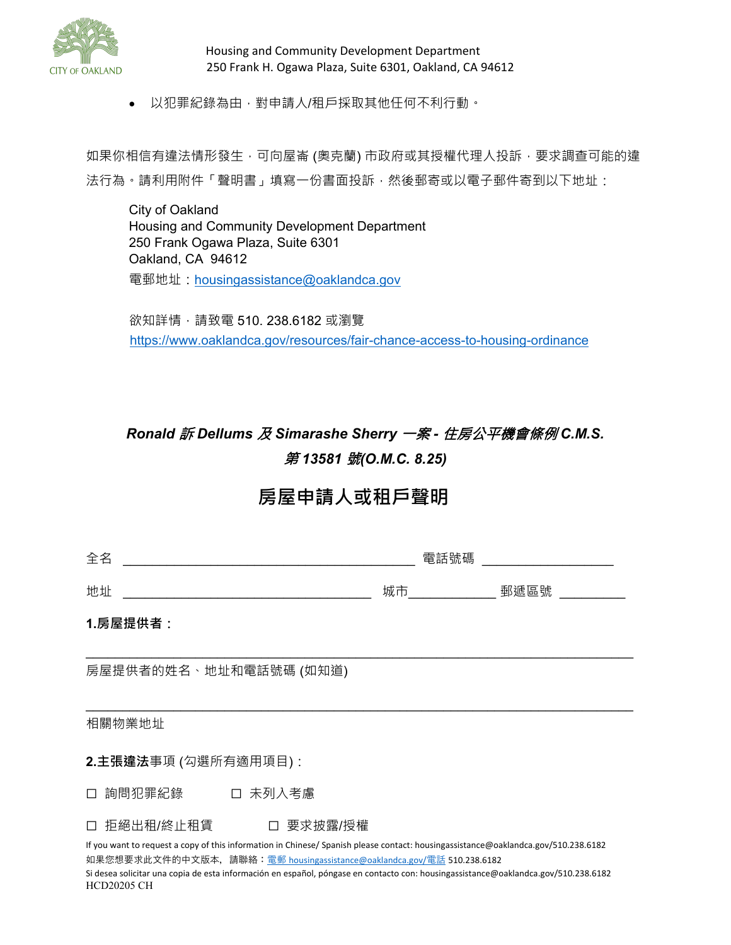

• 以犯罪紀錄為由,對申請人/租戶採取其他任何不利行動。

如果你相信有違法情形發生 · 可向屋崙 (奧克蘭) 市政府或其授權代理人投訴 · 要求調查可能的違 法行為。請利用附件「聲明書」填寫一份書面投訴,然後郵寄或以電子郵件寄到以下地址:

City of Oakland Housing and Community Development Department 250 Frank Ogawa Plaza, Suite 6301 Oakland, CA 94612 電郵地址:[housingassistance@oaklandca.gov](mailto:housingassistance@oaklandca.gov)

欲知詳情,請致電 510. 238.6182 或瀏覽 <https://www.oaklandca.gov/resources/fair-chance-access-to-housing-ordinance>

# *Ronald* 訴 *Dellums* 及 *Simarashe Sherry* 一案 *-* 住房公平機會條例 *C.M.S.*  第 *13581* 號*(O.M.C. 8.25)*

# **房屋申請人或租戶聲明**

| 全名                                                                                                                                                                  | 電話號碼 |      |
|---------------------------------------------------------------------------------------------------------------------------------------------------------------------|------|------|
| 地址                                                                                                                                                                  | 城市   | 郵遞區號 |
| 1.房屋提供者:                                                                                                                                                            |      |      |
| 房屋提供者的姓名、地址和電話號碼 (如知道)                                                                                                                                              |      |      |
| 相關物業地址                                                                                                                                                              |      |      |
| 2.主張違法事項 (勾選所有適用項目):                                                                                                                                                |      |      |
| 詢問犯罪紀錄<br>口 未列入考慮<br>П                                                                                                                                              |      |      |
| 拒絕出租/終止租賃 □ 要求披露/授權<br>$\Box$<br>If you want to request a copy of this information in Chinese/ Spanish please contact: housingassistance@oaklandca.gov/510.238.6182 |      |      |

如果您想要求此文件的中文版本,請聯絡: 電郵 [housingassistance@oaklandca.gov/](mailto:%E9%9B%BB%E9%83%B5housingassistance@oaklandca.gov/%E9%9B%BB%E8%A9%B1)電話 510.238.6182 Si desea solicitar una copia de esta información en español, póngase en contacto con: housingassistance@oaklandca.gov/510.238.6182 HCD20205 CH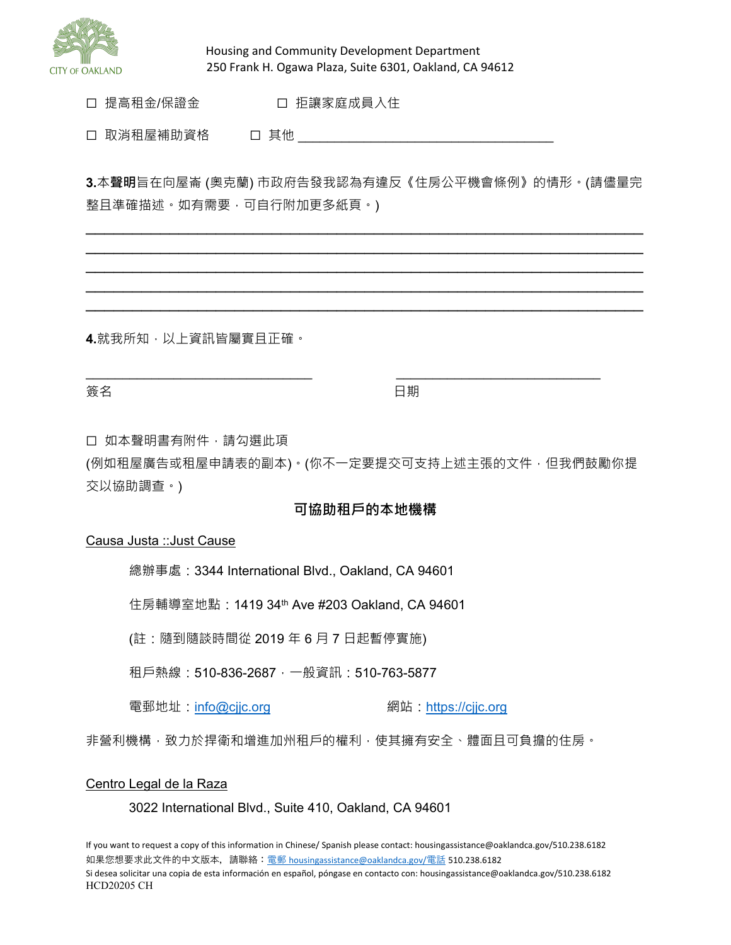

□ 提高租金/保證金 □ □ 拒讓家庭成員入住

☐ 取消租屋補助資格 ☐ 其他 \_\_\_\_\_\_\_\_\_\_\_\_\_\_\_\_\_\_\_\_\_\_\_\_\_\_\_\_\_\_\_\_\_\_\_

**3.**本**聲明**旨在向屋崙 (奧克蘭) 市政府告發我認為有違反《住房公平機會條例》的情形。(請儘量完 整且準確描述。如有需要,可自行附加更多紙頁。)

 $\overline{\phantom{a}}$  , and the contribution of the contribution of the contribution of the contribution of the contribution of the contribution of the contribution of the contribution of the contribution of the contribution of the  $\overline{\phantom{a}}$  , and the contribution of the contribution of the contribution of the contribution of the contribution of the contribution of the contribution of the contribution of the contribution of the contribution of the  $\overline{\phantom{a}}$  , and the contribution of the contribution of the contribution of the contribution of the contribution of the contribution of the contribution of the contribution of the contribution of the contribution of the  $\overline{\phantom{a}}$  , and the contribution of the contribution of the contribution of the contribution of the contribution of the contribution of the contribution of the contribution of the contribution of the contribution of the  $\overline{\phantom{a}}$  , and the contribution of the contribution of the contribution of the contribution of the contribution of the contribution of the contribution of the contribution of the contribution of the contribution of the

**4.**就我所知,以上資訊皆屬實且正確。

にちょう おおとこ あいしゃ あいしゃ あいしゃ あいしゃ 日期 かいしょく かいしょく しゅうしょく しゅうしょく

口 如本聲明書有附件,請勾選此項

(例如租屋廣告或租屋申請表的副本)。(你不一定要提交可支持上述主張的文件,但我們鼓勵你提 交以協助調查。)

\_\_\_\_\_\_\_\_\_\_\_\_\_\_\_\_\_\_\_\_\_\_\_\_\_\_\_\_\_\_\_ \_\_\_\_\_\_\_\_\_\_\_\_\_\_\_\_\_\_\_\_\_\_\_\_\_\_\_\_

#### **可協助租戶的本地機構**

#### Causa Justa ::Just Cause

總辦事處:3344 International Blvd., Oakland, CA 94601

住房輔導室地點:1419 34th Ave #203 Oakland, CA 94601

(註:隨到隨談時間從 2019 年 6 月 7 日起暫停實施)

租戶熱線:510-836-2687,一般資訊:510-763-5877

電郵地址:info@cjic.org 網站:https://cjic.org

非營利機構,致力於捍衛和增進加州租戶的權利,使其擁有安全、體面且可負擔的住房。

#### Centro Legal de la Raza

3022 International Blvd., Suite 410, Oakland, CA 94601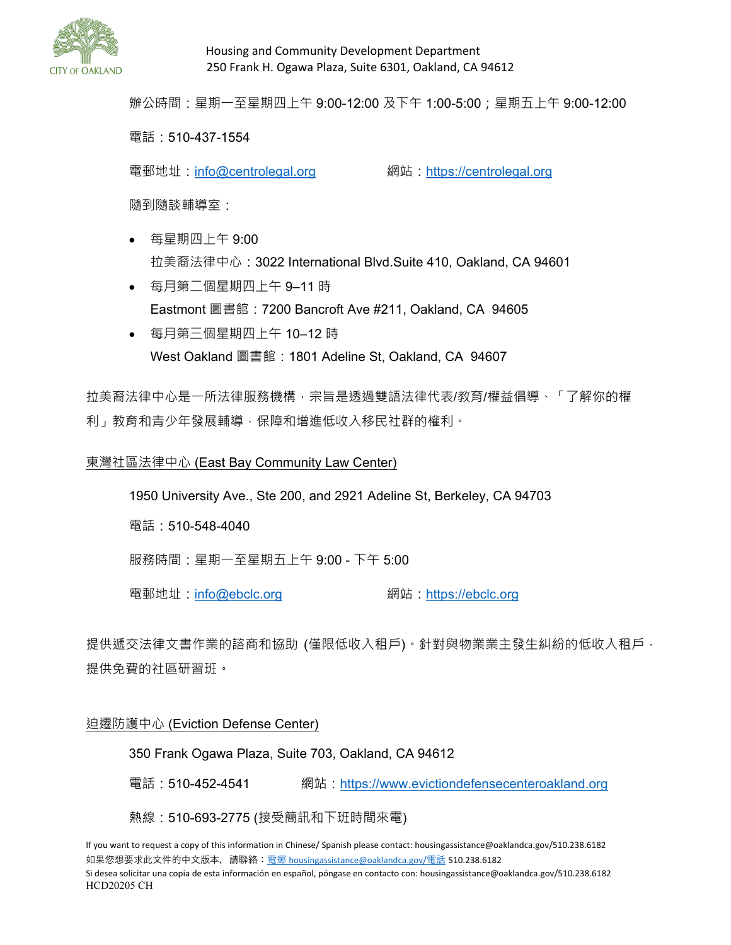

辦公時間:星期一至星期四上午 9:00-12:00 及下午 1:00-5:00;星期五上午 9:00-12:00

#### 電話:510-437-1554

電郵地址:[info@centrolegal.org](file://oakland/ceda/RentAdj/Rent%20Adjustment%20Program/FORMS%20and%20PACKETS/_FORMS%20for%20Public%20Information%20Unit_2019/_2019%20Forms%20LOCKED%20for%20EDITING%20ONLY/info@centrolegal.org) 網站:[https://centrolegal.org](https://centrolegal.org/)

隨到隨談輔導室:

- 每星期四上午 9:00 拉美裔法律中心:3022 International Blvd.Suite 410, Oakland, CA 94601
- 每月第二個星期四上午 9–11 時 Eastmont 圖書館:7200 Bancroft Ave #211, Oakland, CA 94605
- 每月第三個星期四上午 10–12 時 West Oakland 圖書館: 1801 Adeline St, Oakland, CA 94607

拉美裔法律中心是一所法律服務機構,宗旨是透過雙語法律代表/教育/權益倡導、「了解你的權 利」教育和青少年發展輔導,保障和增進低收入移民社群的權利。

#### 東灣社區法律中心 (East Bay Community Law Center)

1950 University Ave., Ste 200, and 2921 Adeline St, Berkeley, CA 94703

電話:510-548-4040

服務時間:星期一至星期五上午 9:00 - 下午 5:00

電郵地址:[info@ebclc.org](file://oakland/ceda/RentAdj/Rent%20Adjustment%20Program/FORMS%20and%20PACKETS/_FORMS%20for%20Public%20Information%20Unit_2019/_2019%20Forms%20LOCKED%20for%20EDITING%20ONLY/info@ebclc.org) 網站:[https://ebclc.org](https://ebclc.org/)

提供遞交法律文書作業的諮商和協助 (僅限低收入租戶) 。 針對與物業業主發生糾紛的低收入租戶, 提供免費的社區研習班。

#### 迫遷防護中心 (Eviction Defense Center)

350 Frank Ogawa Plaza, Suite 703, Oakland, CA 94612

電話:510-452-4541 網站:[https://www.evictiondefensecenteroakland.org](https://www.evictiondefensecenteroakland.org/)

熱線:510-693-2775 (接受簡訊和下班時間來電)

If you want to request a copy of this information in Chinese/ Spanish please contact: housingassistance@oaklandca.gov/510.238.6182 如果您想要求此文件的中文版本,請聯絡:電郵 [housingassistance@oaklandca.gov/](mailto:%E9%9B%BB%E9%83%B5housingassistance@oaklandca.gov/%E9%9B%BB%E8%A9%B1)電話 510.238.6182 Si desea solicitar una copia de esta información en español, póngase en contacto con: housingassistance@oaklandca.gov/510.238.6182 HCD20205 CH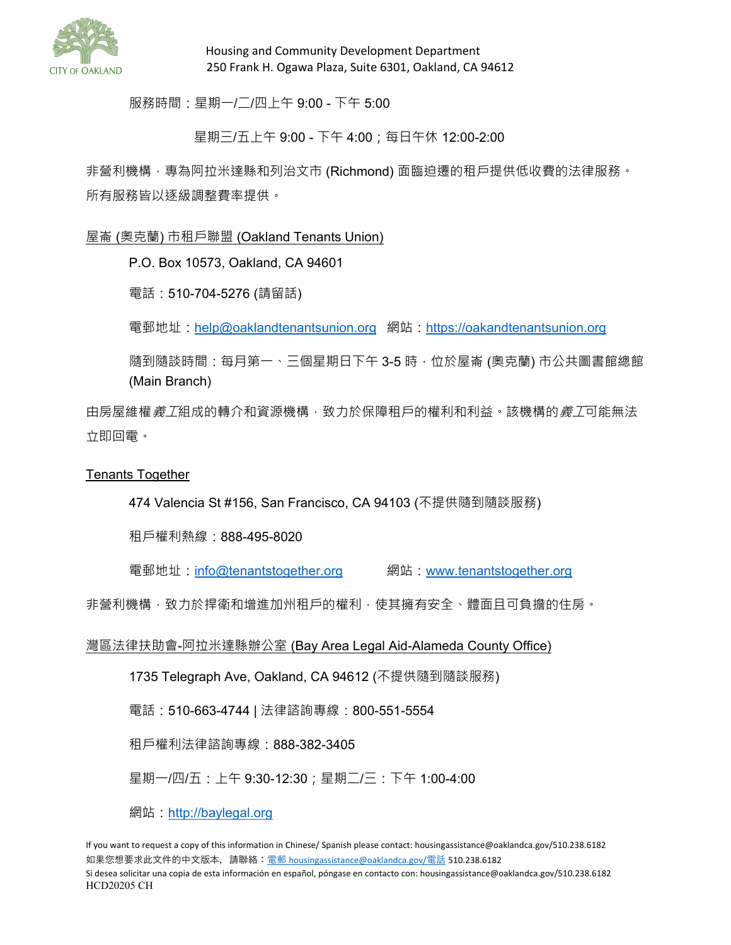

服務時間:星期一/二/四上午 9:00 - 下午 5:00

星期三/五上午 9:00 - 下午 4:00;每日午休 12:00-2:00

非營利機構,專為阿拉米達縣和列治文市 (Richmond) 面臨迫遷的租戶提供低收費的法律服務。 所有服務皆以逐級調整費率提供。

屋崙 (奧克蘭) 市租戶聯盟 (Oakland Tenants Union)

P.O. Box 10573, Oakland, CA 94601

電話:510-704-5276 (請留話)

電郵地址:[help@oaklandtenantsunion.org](file://oakland/ceda/RentAdj/Rent%20Adjustment%20Program/FORMS%20and%20PACKETS/_FORMS%20for%20Public%20Information%20Unit_2019/_2019%20Forms%20LOCKED%20for%20EDITING%20ONLY/help@oaklandtenantsunion.org) 網站:[https://oakandtenantsunion.org](https://oakandtenantsunion.org/)

隨到隨談時間:每月第一、三個星期日下午 3-5 時,位於屋崙 (奧克蘭) 市公共圖書館總館 (Main Branch)

由房屋維權*義工*組成的轉介和資源機構,致力於保障租戶的權利和利益。該機構的*義工*可能無法 立即回電。

Tenants Together

474 Valencia St #156, San Francisco, CA 94103 (不提供隨到隨談服務)

租戶權利熱線:888-495-8020

電郵地址:[info@tenantstogether.org](file://oakland/ceda/RentAdj/Rent%20Adjustment%20Program/FORMS%20and%20PACKETS/_FORMS%20for%20Public%20Information%20Unit_2019/_2019%20Forms%20LOCKED%20for%20EDITING%20ONLY/info@tenantstogether.org) 網站:[www.tenantstogether.org](file://oakland/ceda/RentAdj/Rent%20Adjustment%20Program/FORMS%20and%20PACKETS/_FORMS%20for%20Public%20Information%20Unit_2019/_2019%20Forms%20LOCKED%20for%20EDITING%20ONLY/www.tenantstogether.org)

非營利機構,致力於捍衛和增進加州租戶的權利,使其擁有安全、體面且可負擔的住房。

灣區法律扶助會-阿拉米達縣辦公室 (Bay Area Legal Aid-Alameda County Office)

1735 Telegraph Ave, Oakland, CA 94612 (不提供隨到隨談服務)

電話: 510-663-4744 | 法律諮詢專線: 800-551-5554

租戶權利法律諮詢專線:888-382-3405

星期一/四/五:上午 9:30-12:30;星期二/三:下午 1:00-4:00

網站:<u>[http://baylegal.org](http://baylegal.org/)</u>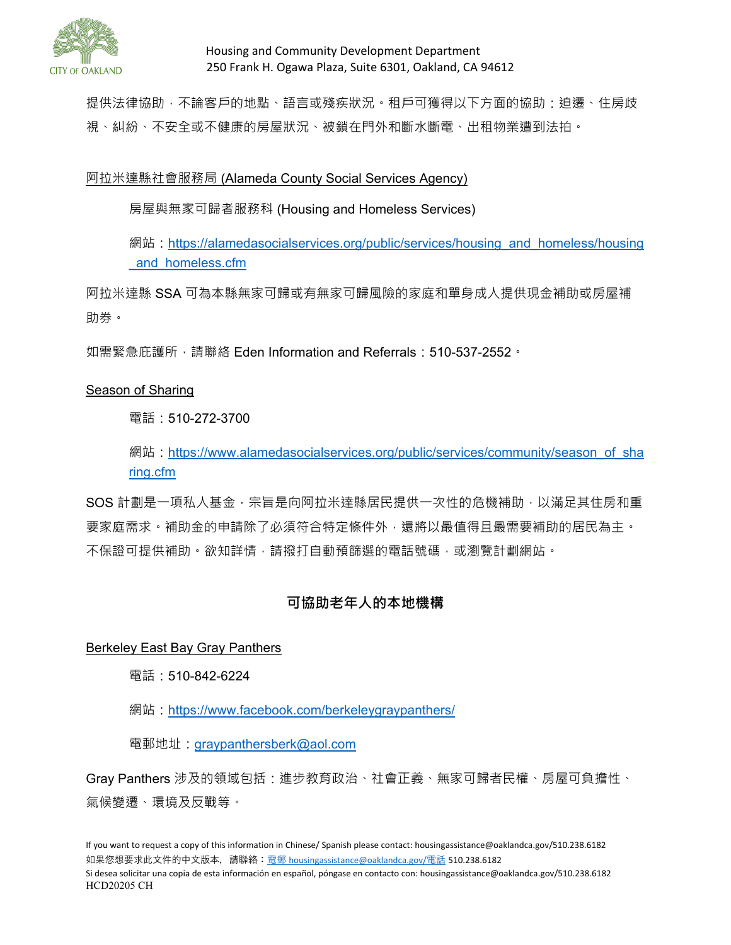

提供法律協助,不論客戶的地點、語言或殘疾狀況。租戶可獲得以下方面的協助:迫遷、住房歧 視、糾紛、不安全或不健康的房屋狀況、被鎖在門外和斷水斷電、出租物業遭到法拍。

阿拉米達縣社會服務局 (Alameda County Social Services Agency)

房屋與無家可歸者服務科 (Housing and Homeless Services)

網站: [https://alamedasocialservices.org/public/services/housing\\_and\\_homeless/housing](https://alamedasocialservices.org/public/services/housing_and_homeless/housing_and_homeless.cfm) and homeless.cfm

阿拉米達縣 SSA 可為本縣無家可歸或有無家可歸風險的家庭和單身成人提供現金補助或房屋補 助券。

如需緊急庇護所 · 請聯絡 Eden Information and Referrals : 510-537-2552 ·

#### Season of Sharing

電話:510-272-3700

網站:[https://www.alamedasocialservices.org/public/services/community/season\\_of\\_sha](https://www.alamedasocialservices.org/public/services/community/season_of_sharing.cfm) [ring.cfm](https://www.alamedasocialservices.org/public/services/community/season_of_sharing.cfm)

SOS 計劃是一項私人基金,宗旨是向阿拉米達縣居民提供一次性的危機補助,以滿足其住房和重 要家庭需求。補助金的申請除了必須符合特定條件外,還將以最值得且最需要補助的居民為主。 不保證可提供補助。欲知詳情,請撥打自動預篩選的電話號碼,或瀏覽計劃網站。

### **可協助老年人的本地機構**

Berkeley East Bay Gray Panthers

電話:510-842-6224

網站:<https://www.facebook.com/berkeleygraypanthers/>

電郵地址: [graypanthersberk@aol.com](file://oakland/ceda/RentAdj/Rent%20Adjustment%20Program/FORMS%20and%20PACKETS/_FORMS%20for%20Public%20Information%20Unit_2019/_2019%20Forms%20LOCKED%20for%20EDITING%20ONLY/graypanthersberk@aol.com)

Gray Panthers 涉及的領域包括:進步教育政治、社會正義、無家可歸者民權、房屋可負擔性、 氣候變遷、環境及反戰等。

If you want to request a copy of this information in Chinese/ Spanish please contact: housingassistance@oaklandca.gov/510.238.6182 如果您想要求此文件的中文版本,請聯絡:電郵 [housingassistance@oaklandca.gov/](mailto:%E9%9B%BB%E9%83%B5housingassistance@oaklandca.gov/%E9%9B%BB%E8%A9%B1)電話 510.238.6182 Si desea solicitar una copia de esta información en español, póngase en contacto con: housingassistance@oaklandca.gov/510.238.6182 HCD20205 CH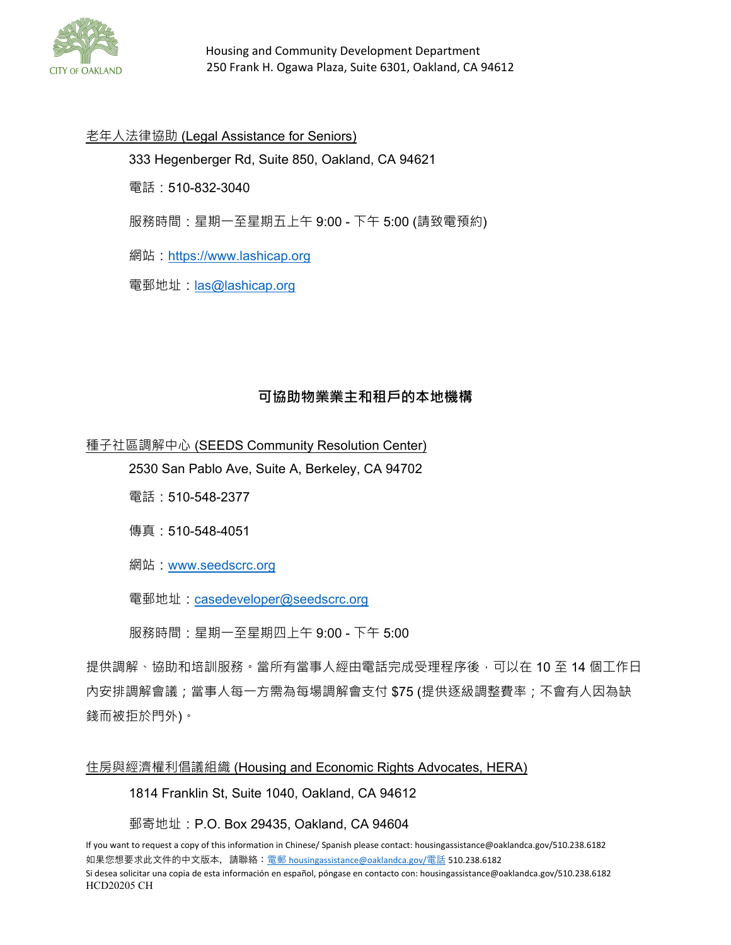

#### 老年人法律協助 (Legal Assistance for Seniors)

333 Hegenberger Rd, Suite 850, Oakland, CA 94621

電話:510-832-3040

服務時間:星期一至星期五上午 9:00 - 下午 5:00 (請致電預約)

網站: [https://www.lashicap.org](https://www.lashicap.org/)

電郵地址: [las@lashicap.org](file://oakland/ceda/RentAdj/Rent%20Adjustment%20Program/FORMS%20and%20PACKETS/_FORMS%20for%20Public%20Information%20Unit_2019/_2019%20Forms%20LOCKED%20for%20EDITING%20ONLY/las@lashicap.org)

### **可協助物業業主和租戶的本地機構**

種子社區調解中心 (SEEDS Community Resolution Center)

2530 San Pablo Ave, Suite A, Berkeley, CA 94702

電話:510-548-2377

傳真:510-548-4051

網站:[www.seedscrc.org](file://oakland/ceda/RentAdj/Rent%20Adjustment%20Program/FORMS%20and%20PACKETS/_FORMS%20for%20Public%20Information%20Unit_2019/_2019%20Forms%20LOCKED%20for%20EDITING%20ONLY/www.seedscrc.org)

電郵地址: [casedeveloper@seedscrc.org](file://oakland/ceda/RentAdj/Rent%20Adjustment%20Program/FORMS%20and%20PACKETS/_FORMS%20for%20Public%20Information%20Unit_2019/_2019%20Forms%20LOCKED%20for%20EDITING%20ONLY/casedeveloper@seedscrc.org)

服務時間:星期一至星期四上午 9:00 - 下午 5:00

提供調解、協助和培訓服務。當所有當事人經由電話完成受理程序後,可以在 10 至 14 個工作日 內安排調解會議;當事人每一方需為每場調解會支付 \$75 (提供逐級調整費率;不會有人因為缺 錢而被拒於門外)。

#### 住房與經濟權利倡議組織 (Housing and Economic Rights Advocates, HERA)

1814 Franklin St, Suite 1040, Oakland, CA 94612

郵寄地址:P.O. Box 29435, Oakland, CA 94604

If you want to request a copy of this information in Chinese/ Spanish please contact: housingassistance@oaklandca.gov/510.238.6182 如果您想要求此文件的中文版本,請聯絡:電郵 [housingassistance@oaklandca.gov/](mailto:%E9%9B%BB%E9%83%B5housingassistance@oaklandca.gov/%E9%9B%BB%E8%A9%B1)電話 510.238.6182 Si desea solicitar una copia de esta información en español, póngase en contacto con: housingassistance@oaklandca.gov/510.238.6182 HCD20205 CH